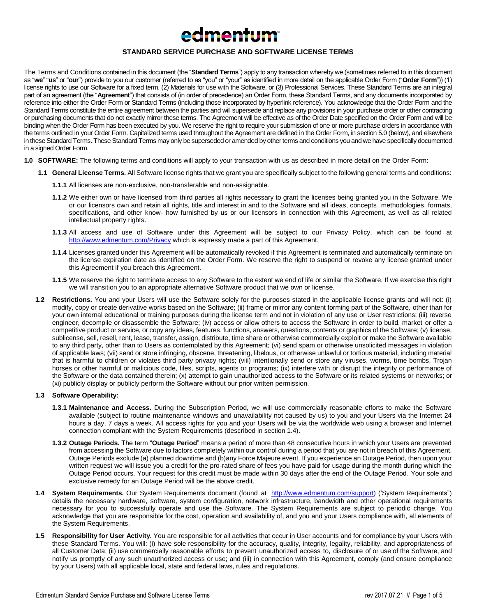# edmentum

# **STANDARD SERVICE PURCHASE AND SOFTWARE LICENSE TERMS**

The Terms and Conditions contained in this document (the "**Standard Terms**") apply to any transaction whereby we (sometimes referred to in this document as "**we**" "**us**" or "**our**") provide to you our customer (referred to as "you" or "your" as identified in more detail on the applicable Order Form ("**Order Form**")) (1) license rights to use our Software for a fixed term, (2) Materials for use with the Software, or (3) Professional Services. These Standard Terms are an integral part of an agreement (the "**Agreement**") that consists of (in order of precedence) an Order Form, these Standard Terms, and any documents incorporated by reference into either the Order Form or Standard Terms (including those incorporated by hyperlink reference). You acknowledge that the Order Form and the Standard Terms constitute the entire agreement between the parties and will supersede and replace any provisions in your purchase order or other contracting or purchasing documents that do not exactly mirror these terms. The Agreement will be effective as of the Order Date specified on the Order Form and will be binding when the Order Form has been executed by you. We reserve the right to require your submission of one or more purchase orders in accordance with the terms outlined in your Order Form. Capitalized terms used throughout the Agreement are defined in the Order Form, in section 5.0 (below), and elsewhere in these Standard Terms. These Standard Terms may only be superseded or amended by other terms and conditions you and we have specifically documented in a signed Order Form.

- **1.0 SOFTWARE:** The following terms and conditions will apply to your transaction with us as described in more detail on the Order Form:
	- **1.1 General License Terms.** All Software license rights that we grant you are specifically subject to the following general terms and conditions:
		- **1.1.1** All licenses are non-exclusive, non-transferable and non-assignable.
		- **1.1.2** We either own or have licensed from third parties all rights necessary to grant the licenses being granted you in the Software. We or our licensors own and retain all rights, title and interest in and to the Software and all ideas, concepts, methodologies, formats, specifications, and other know- how furnished by us or our licensors in connection with this Agreement, as well as all related intellectual property rights.
		- **1.1.3** All access and use of Software under this Agreement will be subject to our Privacy Policy, which can be found at <http://www.edmentum.com/Privacy> which is expressly made a part of this Agreement.
		- **1.1.4** Licenses granted under this Agreement will be automatically revoked if this Agreement is terminated and automatically terminate on the license expiration date as identified on the Order Form. We reserve the right to suspend or revoke any license granted under this Agreement if you breach this Agreement.
		- **1.1.5** We reserve the right to terminate access to any Software to the extent we end of life or similar the Software. If we exercise this right we will transition you to an appropriate alternative Software product that we own or license.
	- **1.2 Restrictions.** You and your Users will use the Software solely for the purposes stated in the applicable license grants and will not: (i) modify, copy or create derivative works based on the Software; (ii) frame or mirror any content forming part of the Software, other than for your own internal educational or training purposes during the license term and not in violation of any use or User restrictions; (iii) reverse engineer, decompile or disassemble the Software; (iv) access or allow others to access the Software in order to build, market or offer a competitive product or service, or copy any ideas, features, functions, answers, questions, contents or graphics of the Software; (v) license, sublicense, sell, resell, rent, lease, transfer, assign, distribute, time share or otherwise commercially exploit or make the Software available to any third party, other than to Users as contemplated by this Agreement; (vi) send spam or otherwise unsolicited messages in violation of applicable laws; (vii) send or store infringing, obscene, threatening, libelous, or otherwise unlawful or tortious material, including material that is harmful to children or violates third party privacy rights; (viii) intentionally send or store any viruses, worms, time bombs, Trojan horses or other harmful or malicious code, files, scripts, agents or programs; (ix) interfere with or disrupt the integrity or performance of the Software or the data contained therein; (x) attempt to gain unauthorized access to the Software or its related systems or networks; or (xi) publicly display or publicly perform the Software without our prior written permission.

# **1.3 Software Operability:**

- **1.3.1 Maintenance and Access.** During the Subscription Period, we will use commercially reasonable efforts to make the Software available (subject to routine maintenance windows and unavailability not caused by us) to you and your Users via the Internet 24 hours a day, 7 days a week. All access rights for you and your Users will be via the worldwide web using a browser and Internet connection compliant with the System Requirements (described in section 1.4).
- **1.3.2 Outage Periods.** The term "**Outage Period**" means a period of more than 48 consecutive hours in which your Users are prevented from accessing the Software due to factors completely within our control during a period that you are not in breach of this Agreement. Outage Periods exclude (a) planned downtime and (b)any Force Majeure event. If you experience an Outage Period, then upon your written request we will issue you a credit for the pro-rated share of fees you have paid for usage during the month during which the Outage Period occurs. Your request for this credit must be made within 30 days after the end of the Outage Period. Your sole and exclusive remedy for an Outage Period will be the above credit.
- 1.4 **System Requirements.** Our System Requirements document (found at [http://www.edmentum.com/support\)](http://www.edmentum.com/support) ('System Requirements") details the necessary hardware, software, system configuration, network infrastructure, bandwidth and other operational requirements necessary for you to successfully operate and use the Software. The System Requirements are subject to periodic change. You acknowledge that you are responsible for the cost, operation and availability of, and you and your Users compliance with, all elements of the System Requirements.
- **1.5 Responsibility for User Activity.** You are responsible for all activities that occur in User accounts and for compliance by your Users with these Standard Terms. You will: (i) have sole responsibility for the accuracy, quality, integrity, legality, reliability, and appropriateness of all Customer Data; (ii) use commercially reasonable efforts to prevent unauthorized access to, disclosure of or use of the Software, and notify us promptly of any such unauthorized access or use; and (iii) in connection with this Agreement, comply (and ensure compliance by your Users) with all applicable local, state and federal laws, rules and regulations.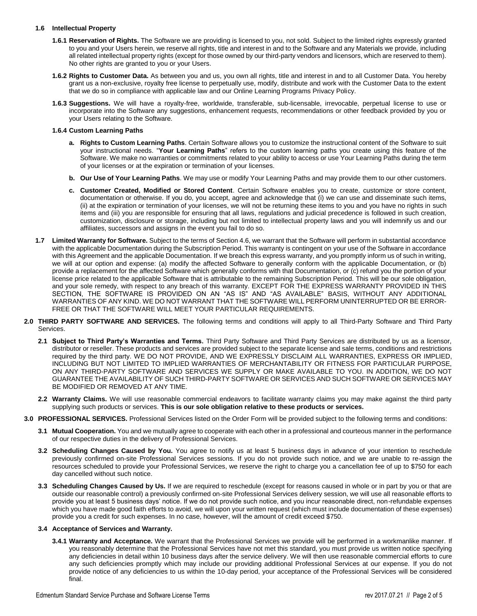# **1.6 Intellectual Property**

- **1.6.1 Reservation of Rights.** The Software we are providing is licensed to you, not sold. Subject to the limited rights expressly granted to you and your Users herein, we reserve all rights, title and interest in and to the Software and any Materials we provide, including all related intellectual property rights (except for those owned by our third-party vendors and licensors, which are reserved to them). No other rights are granted to you or your Users.
- **1.6.2 Rights to Customer Data.** As between you and us, you own all rights, title and interest in and to all Customer Data. You hereby grant us a non-exclusive, royalty free license to perpetually use, modify, distribute and work with the Customer Data to the extent that we do so in compliance with applicable law and our Online Learning Programs Privacy Policy.
- **1.6.3 Suggestions.** We will have a royalty-free, worldwide, transferable, sub-licensable, irrevocable, perpetual license to use or incorporate into the Software any suggestions, enhancement requests, recommendations or other feedback provided by you or your Users relating to the Software.

# **1.6.4 Custom Learning Paths**

- **a. Rights to Custom Learning Paths**. Certain Software allows you to customize the instructional content of the Software to suit your instructional needs. "**Your Learning Paths**" refers to the custom learning paths you create using this feature of the Software. We make no warranties or commitments related to your ability to access or use Your Learning Paths during the term of your licenses or at the expiration or termination of your licenses.
- **b. Our Use of Your Learning Paths**. We may use or modify Your Learning Paths and may provide them to our other customers.
- **c. Customer Created, Modified or Stored Content**. Certain Software enables you to create, customize or store content, documentation or otherwise. If you do, you accept, agree and acknowledge that (i) we can use and disseminate such items, (ii) at the expiration or termination of your licenses, we will not be returning these items to you and you have no rights in such items and (iii) you are responsible for ensuring that all laws, regulations and judicial precedence is followed in such creation, customization, disclosure or storage, including but not limited to intellectual property laws and you will indemnify us and our affiliates, successors and assigns in the event you fail to do so.
- **1.7 Limited Warranty for Software.** Subject to the terms of Section 4.6, we warrant that the Software will perform in substantial accordance with the applicable Documentation during the Subscription Period. This warranty is contingent on your use of the Software in accordance with this Agreement and the applicable Documentation. If we breach this express warranty, and you promptly inform us of such in writing, we will at our option and expense: (a) modify the affected Software to generally conform with the applicable Documentation, or (b) provide a replacement for the affected Software which generally conforms with that Documentation, or (c) refund you the portion of your license price related to the applicable Software that is attributable to the remaining Subscription Period. This will be our sole obligation, and your sole remedy, with respect to any breach of this warranty. EXCEPT FOR THE EXPRESS WARRANTY PROVIDED IN THIS SECTION, THE SOFTWARE IS PROVIDED ON AN "AS IS" AND "AS AVAILABLE" BASIS, WITHOUT ANY ADDITIONAL WARRANTIES OF ANY KIND. WE DO NOT WARRANT THAT THE SOFTWARE WILL PERFORM UNINTERRUPTED OR BE ERROR-FREE OR THAT THE SOFTWARE WILL MEET YOUR PARTICULAR REQUIREMENTS.
- **2.0 THIRD PARTY SOFTWARE AND SERVICES.** The following terms and conditions will apply to all Third-Party Software and Third Party Services.
	- **2.1 Subject to Third Party's Warranties and Terms.** Third Party Software and Third Party Services are distributed by us as a licensor, distributor or reseller. These products and services are provided subject to the separate license and sale terms, conditions and restrictions required by the third party. WE DO NOT PROVIDE, AND WE EXPRESSLY DISCLAIM ALL WARRANTIES, EXPRESS OR IMPLIED, INCLUDING BUT NOT LIMITED TO IMPLIED WARRANTIES OF MERCHANTABILITY OR FITNESS FOR PARTICULAR PURPOSE, ON ANY THIRD-PARTY SOFTWARE AND SERVICES WE SUPPLY OR MAKE AVAILABLE TO YOU. IN ADDITION, WE DO NOT GUARANTEE THE AVAILABILITY OF SUCH THIRD-PARTY SOFTWARE OR SERVICES AND SUCH SOFTWARE OR SERVICES MAY BE MODIFIED OR REMOVED AT ANY TIME.
	- **2.2 Warranty Claims.** We will use reasonable commercial endeavors to facilitate warranty claims you may make against the third party supplying such products or services. **This is our sole obligation relative to these products or services.**
- **3.0 PROFESSIONAL SERVICES.** Professional Services listed on the Order Form will be provided subject to the following terms and conditions:
	- **3.1 Mutual Cooperation.** You and we mutually agree to cooperate with each other in a professional and courteous manner in the performance of our respective duties in the delivery of Professional Services.
	- **3.2 Scheduling Changes Caused by You.** You agree to notify us at least 5 business days in advance of your intention to reschedule previously confirmed on-site Professional Services sessions. If you do not provide such notice, and we are unable to re-assign the resources scheduled to provide your Professional Services, we reserve the right to charge you a cancellation fee of up to \$750 for each day cancelled without such notice.
	- **3.3 Scheduling Changes Caused by Us.** If we are required to reschedule (except for reasons caused in whole or in part by you or that are outside our reasonable control) a previously confirmed on-site Professional Services delivery session, we will use all reasonable efforts to provide you at least 5 business days' notice. If we do not provide such notice, and you incur reasonable direct, non-refundable expenses which you have made good faith efforts to avoid, we will upon your written request (which must include documentation of these expenses) provide you a credit for such expenses. In no case, however, will the amount of credit exceed \$750.

# **3.4 Acceptance of Services and Warranty.**

**3.4.1 Warranty and Acceptance.** We warrant that the Professional Services we provide will be performed in a workmanlike manner. If you reasonably determine that the Professional Services have not met this standard, you must provide us written notice specifying any deficiencies in detail within 10 business days after the service delivery. We will then use reasonable commercial efforts to cure any such deficiencies promptly which may include our providing additional Professional Services at our expense. If you do not provide notice of any deficiencies to us within the 10-day period, your acceptance of the Professional Services will be considered final.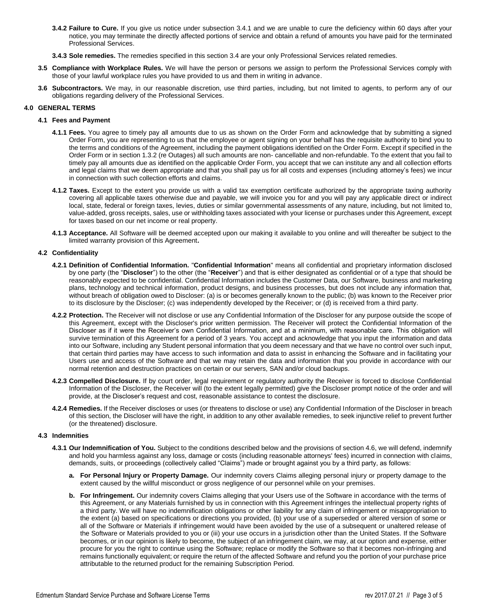**3.4.2 Failure to Cure.** If you give us notice under subsection 3.4.1 and we are unable to cure the deficiency within 60 days after your notice, you may terminate the directly affected portions of service and obtain a refund of amounts you have paid for the terminated Professional Services.

**3.4.3 Sole remedies.** The remedies specified in this section 3.4 are your only Professional Services related remedies.

- **3.5 Compliance with Workplace Rules.** We will have the person or persons we assign to perform the Professional Services comply with those of your lawful workplace rules you have provided to us and them in writing in advance.
- **3.6 Subcontractors.** We may, in our reasonable discretion, use third parties, including, but not limited to agents, to perform any of our obligations regarding delivery of the Professional Services.

# **4.0 GENERAL TERMS**

#### **4.1 Fees and Payment**

- **4.1.1 Fees.** You agree to timely pay all amounts due to us as shown on the Order Form and acknowledge that by submitting a signed Order Form, you are representing to us that the employee or agent signing on your behalf has the requisite authority to bind you to the terms and conditions of the Agreement, including the payment obligations identified on the Order Form. Except if specified in the Order Form or in section 1.3.2 (re Outages) all such amounts are non- cancellable and non-refundable. To the extent that you fail to timely pay all amounts due as identified on the applicable Order Form, you accept that we can institute any and all collection efforts and legal claims that we deem appropriate and that you shall pay us for all costs and expenses (including attorney's fees) we incur in connection with such collection efforts and claims.
- **4.1.2 Taxes.** Except to the extent you provide us with a valid tax exemption certificate authorized by the appropriate taxing authority covering all applicable taxes otherwise due and payable, we will invoice you for and you will pay any applicable direct or indirect local, state, federal or foreign taxes, levies, duties or similar governmental assessments of any nature, including, but not limited to, value-added, gross receipts, sales, use or withholding taxes associated with your license or purchases under this Agreement, except for taxes based on our net income or real property.
- **4.1.3 Acceptance.** All Software will be deemed accepted upon our making it available to you online and will thereafter be subject to the limited warranty provision of this Agreement**.**

# **4.2 Confidentiality**

- **4.2.1 Definition of Confidential Information.** "**Confidential Information**" means all confidential and proprietary information disclosed by one party (the "**Discloser**") to the other (the "**Receiver**") and that is either designated as confidential or of a type that should be reasonably expected to be confidential. Confidential Information includes the Customer Data, our Software, business and marketing plans, technology and technical information, product designs, and business processes, but does not include any information that, without breach of obligation owed to Discloser: (a) is or becomes generally known to the public; (b) was known to the Receiver prior to its disclosure by the Discloser; (c) was independently developed by the Receiver; or (d) is received from a third party.
- **4.2.2 Protection.** The Receiver will not disclose or use any Confidential Information of the Discloser for any purpose outside the scope of this Agreement, except with the Discloser's prior written permission. The Receiver will protect the Confidential Information of the Discloser as if it were the Receiver's own Confidential Information, and at a minimum, with reasonable care. This obligation will survive termination of this Agreement for a period of 3 years. You accept and acknowledge that you input the information and data into our Software, including any Student personal information that you deem necessary and that we have no control over such input, that certain third parties may have access to such information and data to assist in enhancing the Software and in facilitating your Users use and access of the Software and that we may retain the data and information that you provide in accordance with our normal retention and destruction practices on certain or our servers, SAN and/or cloud backups.
- **4.2.3 Compelled Disclosure.** If by court order, legal requirement or regulatory authority the Receiver is forced to disclose Confidential Information of the Discloser, the Receiver will (to the extent legally permitted) give the Discloser prompt notice of the order and will provide, at the Discloser's request and cost, reasonable assistance to contest the disclosure.
- **4.2.4 Remedies.** If the Receiver discloses or uses (or threatens to disclose or use) any Confidential Information of the Discloser in breach of this section, the Discloser will have the right, in addition to any other available remedies, to seek injunctive relief to prevent further (or the threatened) disclosure.

# **4.3 Indemnities**

- **4.3.1 Our Indemnification of You.** Subject to the conditions described below and the provisions of section 4.6, we will defend, indemnify and hold you harmless against any loss, damage or costs (including reasonable attorneys' fees) incurred in connection with claims, demands, suits, or proceedings (collectively called "Claims") made or brought against you by a third party, as follows:
	- **a. For Personal Injury or Property Damage.** Our indemnity covers Claims alleging personal injury or property damage to the extent caused by the willful misconduct or gross negligence of our personnel while on your premises.
	- **b. For Infringement.** Our indemnity covers Claims alleging that your Users use of the Software in accordance with the terms of this Agreement, or any Materials furnished by us in connection with this Agreement infringes the intellectual property rights of a third party. We will have no indemnification obligations or other liability for any claim of infringement or misappropriation to the extent (a) based on specifications or directions you provided, (b) your use of a superseded or altered version of some or all of the Software or Materials if infringement would have been avoided by the use of a subsequent or unaltered release of the Software or Materials provided to you or (iii) your use occurs in a jurisdiction other than the United States. If the Software becomes, or in our opinion is likely to become, the subject of an infringement claim, we may, at our option and expense, either procure for you the right to continue using the Software; replace or modify the Software so that it becomes non-infringing and remains functionally equivalent; or require the return of the affected Software and refund you the portion of your purchase price attributable to the returned product for the remaining Subscription Period.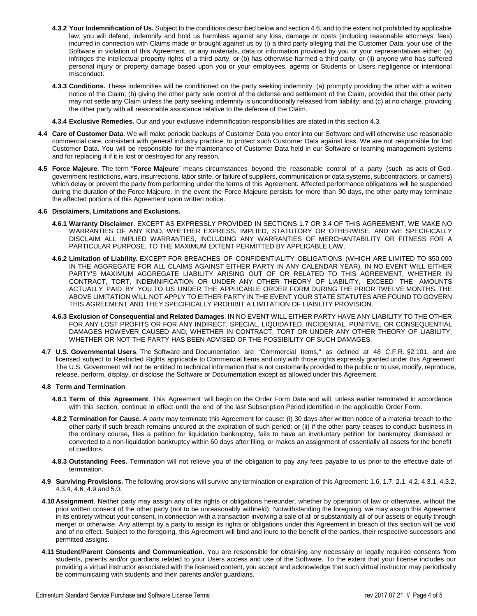- **4.3.2 Your Indemnification of Us.** Subject to the conditions described below and section 4.6, and to the extent not prohibited by applicable law, you will defend, indemnify and hold us harmless against any loss, damage or costs (including reasonable attorneys' fees) incurred in connection with Claims made or brought against us by (i) a third party alleging that the Customer Data, your use of the Software in violation of this Agreement, or any materials, data or information provided by you or your representatives either: (a) infringes the intellectual property rights of a third party, or (b) has otherwise harmed a third party, or (ii) anyone who has suffered personal injury or property damage based upon you or your employees, agents or Students or Users negligence or intentional misconduct.
- **4.3.3 Conditions.** These indemnities will be conditioned on the party seeking indemnity: (a) promptly providing the other with a written notice of the Claim; (b) giving the other party sole control of the defense and settlement of the Claim, provided that the other party may not settle any Claim unless the party seeking indemnity is unconditionally released from liability; and (c) at no charge, providing the other party with all reasonable assistance relative to the defense of the Claim.
- **4.3.4 Exclusive Remedies.** Our and your exclusive indemnification responsibilities are stated in this section 4.3.
- **4.4 Care of Customer Data**. We will make periodic backups of Customer Data you enter into our Software and will otherwise use reasonable commercial care, consistent with general industry practice, to protect such Customer Data against loss. We are not responsible for lost Customer Data. You will be responsible for the maintenance of Customer Data held in our Software or learning management systems and for replacing it if it is lost or destroyed for any reason.
- **4.5 Force Majeure**. The term "**Force Majeure**" means circumstances beyond the reasonable control of a party (such as acts of God, government restrictions, wars, insurrections, labor strife, or failure of suppliers, communication or data systems, subcontractors, or carriers) which delay or prevent the party from performing under the terms of this Agreement. Affected performance obligations will be suspended during the duration of the Force Majeure. In the event the Force Majeure persists for more than 90 days, the other party may terminate the affected portions of this Agreement upon written notice.

#### **4.6 Disclaimers, Limitations and Exclusions.**

- **4.6.1 Warranty Disclaimer**. EXCEPT AS EXPRESSLY PROVIDED IN SECTIONS 1.7 OR 3.4 OF THIS AGREEMENT, WE MAKE NO WARRANTIES OF ANY KIND, WHETHER EXPRESS, IMPLIED, STATUTORY OR OTHERWISE, AND WE SPECIFICALLY DISCLAIM ALL IMPLIED WARRANTIES, INCLUDING ANY WARRANTIES OF MERCHANTABILITY OR FITNESS FOR A PARTICULAR PURPOSE, TO THE MAXIMUM EXTENT PERMITTED BY APPLICABLE LAW.
- **4.6.2 Limitation of Liability.** EXCEPT FOR BREACHES OF CONFIDENTIALITY OBLIGATIONS (WHICH ARE LIMITED TO \$50,000 IN THE AGGREGATE FOR ALL CLAIMS AGAINST EITHER PARTY IN ANY CALENDAR YEAR), IN NO EVENT WILL EITHER PARTY'S MAXIMUM AGGREGATE LIABILITY ARISING OUT OF OR RELATED TO THIS AGREEMENT, WHETHER IN CONTRACT, TORT, INDEMNIFICATION OR UNDER ANY OTHER THEORY OF LIABILITY, EXCEED THE AMOUNTS ACTUALLY PAID BY YOU TO US UNDER THE APPLICABLE ORDER FORM DURING THE PRIOR TWELVE MONTHS. THE ABOVE LIMITATION WILL NOT APPLY TO EITHER PARTY IN THE EVENT YOUR STATE STATUTES ARE FOUND TO GOVERN THIS AGREEMENT AND THEY SPECIFICALLY PROHIBIT A LIMITATION OF LIABILITY PROVISION.
- **4.6.3 Exclusion of Consequential and Related Damages**. IN NO EVENT WILL EITHER PARTY HAVE ANY LIABILITY TO THE OTHER FOR ANY LOST PROFITS OR FOR ANY INDIRECT, SPECIAL, LIQUIDATED, INCIDENTAL, PUNITIVE, OR CONSEQUENTIAL DAMAGES HOWEVER CAUSED AND, WHETHER IN CONTRACT, TORT OR UNDER ANY OTHER THEORY OF LIABILITY, WHETHER OR NOT THE PARTY HAS BEEN ADVISED OF THE POSSIBILITY OF SUCH DAMAGES.
- **4.7 U.S. Governmental Users**. The Software and Documentation are "Commercial Items," as defined at 48 C.F.R. §2.101, and are licensed subject to Restricted Rights applicable to Commercial Items and only with those rights expressly granted under this Agreement. The U.S. Government will not be entitled to technical information that is not customarily provided to the public or to use, modify, reproduce, release, perform, display, or disclose the Software or Documentation except as allowed under this Agreement.

#### **4.8 Term and Termination**

- **4.8.1 Term of this Agreement**. This Agreement will begin on the Order Form Date and will, unless earlier terminated in accordance with this section, continue in effect until the end of the last Subscription Period identified in the applicable Order Form.
- **4.8.2 Termination for Cause.** A party may terminate this Agreement for cause: (i) 30 days after written notice of a material breach to the other party if such breach remains uncured at the expiration of such period; or (ii) if the other party ceases to conduct business in the ordinary course, files a petition for liquidation bankruptcy, fails to have an involuntary petition for bankruptcy dismissed or converted to a non-liquidation bankruptcy within 60 days after filing, or makes an assignment of essentially all assets for the benefit of creditors.
- **4.8.3 Outstanding Fees.** Termination will not relieve you of the obligation to pay any fees payable to us prior to the effective date of termination.
- **4.9 Surviving Provisions.** The following provisions will survive any termination or expiration of this Agreement: 1.6, 1.7, 2.1, 4.2, 4.3.1, 4.3.2, 4.3.4, 4.6, 4.9 and 5.0.
- **4.10 Assignment**. Neither party may assign any of its rights or obligations hereunder, whether by operation of law or otherwise, without the prior written consent of the other party (not to be unreasonably withheld). Notwithstanding the foregoing, we may assign this Agreement in its entirety without your consent, in connection with a transaction involving a sale of all or substantially all of our assets or equity through merger or otherwise. Any attempt by a party to assign its rights or obligations under this Agreement in breach of this section will be void and of no effect. Subject to the foregoing, this Agreement will bind and inure to the benefit of the parties, their respective successors and permitted assigns.
- **4.11 Student/Parent Consents and Communication.** You are responsible for obtaining any necessary or legally required consents from students, parents and/or guardians related to your Users access and use of the Software. To the extent that your license includes our providing a virtual instructor associated with the licensed content, you accept and acknowledge that such virtual instructor may periodically be communicating with students and their parents and/or guardians.